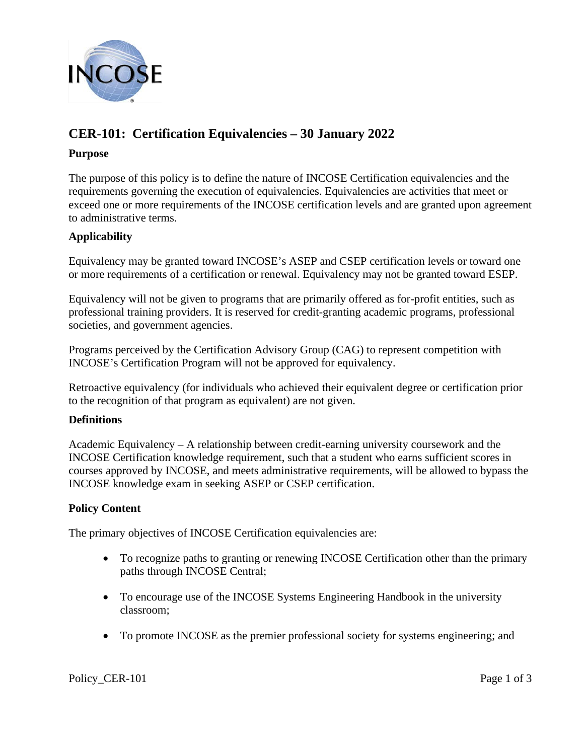

# **CER-101: Certification Equivalencies – 30 January 2022**

## **Purpose**

The purpose of this policy is to define the nature of INCOSE Certification equivalencies and the requirements governing the execution of equivalencies. Equivalencies are activities that meet or exceed one or more requirements of the INCOSE certification levels and are granted upon agreement to administrative terms.

# **Applicability**

Equivalency may be granted toward INCOSE's ASEP and CSEP certification levels or toward one or more requirements of a certification or renewal. Equivalency may not be granted toward ESEP.

Equivalency will not be given to programs that are primarily offered as for-profit entities, such as professional training providers. It is reserved for credit-granting academic programs, professional societies, and government agencies.

Programs perceived by the Certification Advisory Group (CAG) to represent competition with INCOSE's Certification Program will not be approved for equivalency.

Retroactive equivalency (for individuals who achieved their equivalent degree or certification prior to the recognition of that program as equivalent) are not given.

## **Definitions**

Academic Equivalency – A relationship between credit-earning university coursework and the INCOSE Certification knowledge requirement, such that a student who earns sufficient scores in courses approved by INCOSE, and meets administrative requirements, will be allowed to bypass the INCOSE knowledge exam in seeking ASEP or CSEP certification.

## **Policy Content**

The primary objectives of INCOSE Certification equivalencies are:

- To recognize paths to granting or renewing INCOSE Certification other than the primary paths through INCOSE Central;
- To encourage use of the INCOSE Systems Engineering Handbook in the university classroom;
- To promote INCOSE as the premier professional society for systems engineering; and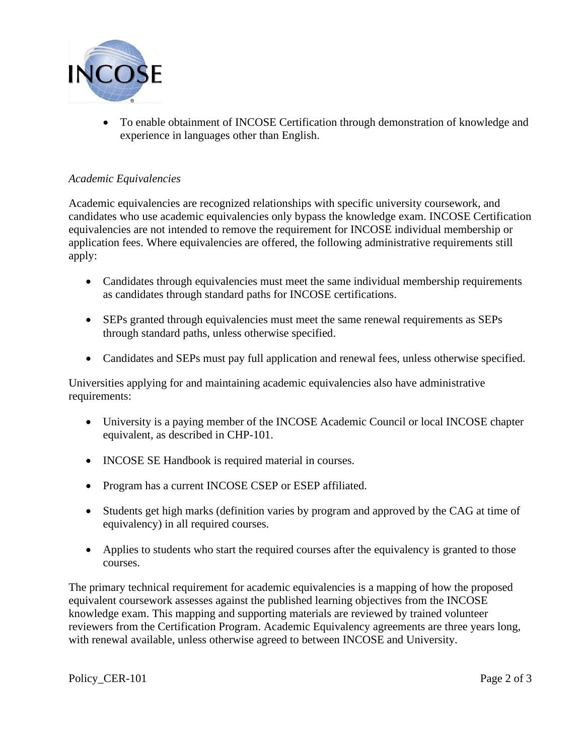

• To enable obtainment of INCOSE Certification through demonstration of knowledge and experience in languages other than English.

## *Academic Equivalencies*

Academic equivalencies are recognized relationships with specific university coursework, and candidates who use academic equivalencies only bypass the knowledge exam. INCOSE Certification equivalencies are not intended to remove the requirement for INCOSE individual membership or application fees. Where equivalencies are offered, the following administrative requirements still apply:

- Candidates through equivalencies must meet the same individual membership requirements as candidates through standard paths for INCOSE certifications.
- SEPs granted through equivalencies must meet the same renewal requirements as SEPs through standard paths, unless otherwise specified.
- Candidates and SEPs must pay full application and renewal fees, unless otherwise specified.

Universities applying for and maintaining academic equivalencies also have administrative requirements:

- University is a paying member of the INCOSE Academic Council or local INCOSE chapter equivalent, as described in CHP-101.
- INCOSE SE Handbook is required material in courses.
- Program has a current INCOSE CSEP or ESEP affiliated.
- Students get high marks (definition varies by program and approved by the CAG at time of equivalency) in all required courses.
- Applies to students who start the required courses after the equivalency is granted to those courses.

The primary technical requirement for academic equivalencies is a mapping of how the proposed equivalent coursework assesses against the published learning objectives from the INCOSE knowledge exam. This mapping and supporting materials are reviewed by trained volunteer reviewers from the Certification Program. Academic Equivalency agreements are three years long, with renewal available, unless otherwise agreed to between INCOSE and University.